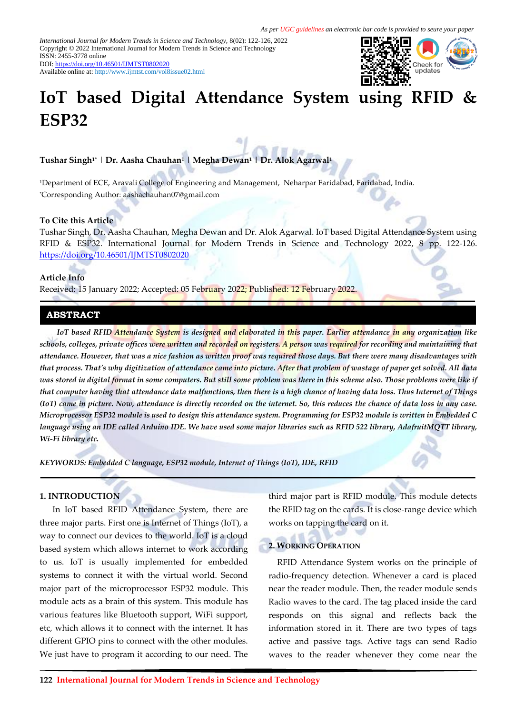*International Journal for Modern Trends in Science and Technology,* 8(02): 122-126, 2022 Copyright © 2022 International Journal for Modern Trends in Science and Technology ISSN: 2455-3778 online DOI[: https://doi.org/10.46501/IJMTST0802020](https://doi.org/10.46501/IJMTST0802020)

Available online at:<http://www.ijmtst.com/vol8issue02.html>



# **IoT based Digital Attendance System using RFID & ESP32**

**Tushar Singh1\* | Dr. Aasha Chauhan<sup>1</sup> | Megha Dewan<sup>1</sup> | Dr. Alok Agarwal<sup>1</sup>**

<sup>1</sup>Department of ECE, Aravali College of Engineering and Management, Neharpar Faridabad, Faridabad, India. \*Corresponding Author: aashachauhan07@gmail.com

### **To Cite this Article**

Tushar Singh, Dr. Aasha Chauhan, Megha Dewan and Dr. Alok Agarwal. IoT based Digital Attendance System using RFID & ESP32. International Journal for Modern Trends in Science and Technology 2022, 8 pp. 122-126. <https://doi.org/10.46501/IJMTST0802020>

#### **Article Info**

Received: 15 January 2022; Accepted: 05 February 2022; Published: 12 February 2022.

# **ABSTRACT**

*IoT based RFID Attendance System is designed and elaborated in this paper. Earlier attendance in any organization like schools, colleges, private offices were written and recorded on registers. A person was required for recording and maintaining that attendance. However, that was a nice fashion as written proof was required those days. But there were many disadvantages with that process. That's why digitization of attendance came into picture. After that problem of wastage of paper get solved. All data was stored in digital format in some computers. But still some problem was there in this scheme also. Those problems were like if that computer having that attendance data malfunctions, then there is a high chance of having data loss. Thus Internet of Things (IoT) came in picture. Now, attendance is directly recorded on the internet. So, this reduces the chance of data loss in any case. Microprocessor ESP32 module is used to design this attendance system. Programming for ESP32 module is written in Embedded C language using an IDE called Arduino IDE. We have used some major libraries such as RFID 522 library, AdafruitMQTT library, Wi-Fi library etc.*

*KEYWORDS: Embedded C language, ESP32 module, Internet of Things (IoT), IDE, RFID*

# **1. INTRODUCTION**

 In IoT based RFID Attendance System, there are three major parts. First one is Internet of Things (IoT), a way to connect our devices to the world. IoT is a cloud based system which allows internet to work according to us. IoT is usually implemented for embedded systems to connect it with the virtual world. Second major part of the microprocessor ESP32 module. This module acts as a brain of this system. This module has various features like Bluetooth support, WiFi support, etc, which allows it to connect with the internet. It has different GPIO pins to connect with the other modules. We just have to program it according to our need. The third major part is RFID module. This module detects the RFID tag on the cards. It is close-range device which works on tapping the card on it.

#### **2. WORKING OPERATION**

RFID Attendance System works on the principle of radio-frequency detection. Whenever a card is placed near the reader module. Then, the reader module sends Radio waves to the card. The tag placed inside the card responds on this signal and reflects back the information stored in it. There are two types of tags active and passive tags. Active tags can send Radio waves to the reader whenever they come near the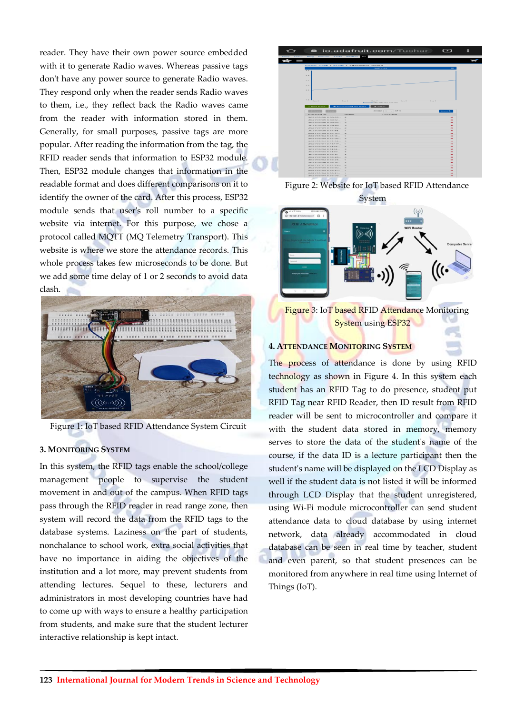reader. They have their own power source embedded with it to generate Radio waves. Whereas passive tags don't have any power source to generate Radio waves. They respond only when the reader sends Radio waves to them, i.e., they reflect back the Radio waves came from the reader with information stored in them. Generally, for small purposes, passive tags are more popular. After reading the information from the tag, the RFID reader sends that information to ESP32 module. Then, ESP32 module changes that information in the readable format and does different comparisons on it to identify the owner of the card. After this process, ESP32 module sends that user's roll number to a specific website via internet. For this purpose, we chose a protocol called MQTT (MQ Telemetry Transport). This website is where we store the attendance records. This whole process takes few microseconds to be done. But we add some time delay of 1 or 2 seconds to avoid data clash.



Figure 1: IoT based RFID Attendance System Circuit

# **3. MONITORING SYSTEM**

In this system, the RFID tags enable the school/college management people to supervise the student movement in and out of the campus. When RFID tags pass through the RFID reader in read range zone, then system will record the data from the RFID tags to the database systems. Laziness on the part of students, nonchalance to school work, extra social activities that have no importance in aiding the objectives of the institution and a lot more, may prevent students from attending lectures. Sequel to these, lecturers and administrators in most developing countries have had to come up with ways to ensure a healthy participation from students, and make sure that the student lecturer interactive relationship is kept intact.



Figure 2: Website for IoT based RFID Attendance System



**System using ESP32** 

# **4. ATTENDANCE MONITORING SYSTEM**

The process of attendance is done by using RFID technology as shown in Figure 4. In this system each student has an RFID Tag to do presence, student put RFID Tag near RFID Reader, then ID result from RFID reader will be sent to microcontroller and compare it with the student data stored in memory, memory serves to store the data of the student's name of the course, if the data ID is a lecture participant then the student's name will be displayed on the LCD Display as well if the student data is not listed it will be informed through LCD Display that the student unregistered, using Wi-Fi module microcontroller can send student attendance data to cloud database by using internet network, data already accommodated in cloud database can be seen in real time by teacher, student and even parent, so that student presences can be monitored from anywhere in real time using Internet of Things (IoT).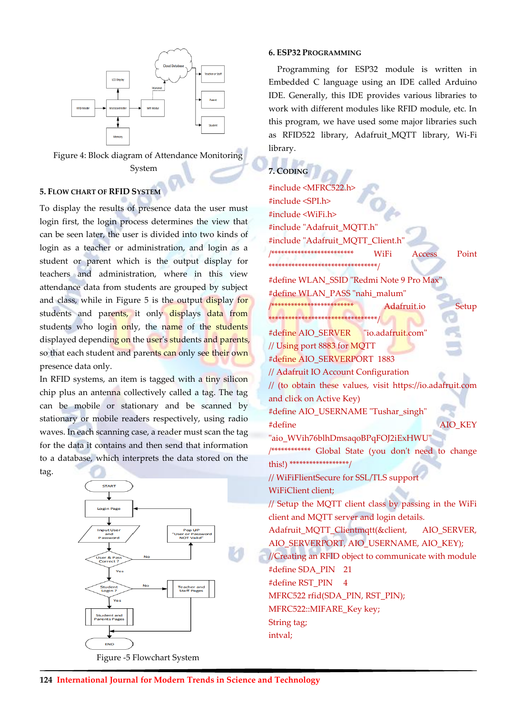

Figure 4: Block diagram of Attendance Monitoring System

# **5. FLOW CHART OF RFID SYSTEM**

To display the results of presence data the user must login first, the login process determines the view that can be seen later, the user is divided into two kinds of login as a teacher or administration, and login as a student or parent which is the output display for teachers and administration, where in this view attendance data from students are grouped by subject and class, while in Figure 5 is the output display for students and parents, it only displays data from students who login only, the name of the students displayed depending on the user's students and parents, so that each student and parents can only see their own presence data only.

In RFID systems, an item is tagged with a tiny silicon chip plus an antenna collectively called a tag. The tag can be mobile or stationary and be scanned by stationary or mobile readers respectively, using radio waves. In each scanning case, a reader must scan the tag for the data it contains and then send that information to a database, which interprets the data stored on the tag.



### **6. ESP32 PROGRAMMING**

Programming for ESP32 module is written in Embedded C language using an IDE called Arduino IDE. Generally, this IDE provides various libraries to work with different modules like RFID module, etc. In this program, we have used some major libraries such as RFID522 library, Adafruit MQTT library, Wi-Fi library.

# 7. CODING

#include <MFRC522.h> #include <SPLh> #include <WiFi.h> #include "Adafruit MQTT.h" #include "Adafruit MQTT Client.h" \*\*\*\*\*\*\*\*\*\*\*\*\*\*\*\*\*\*\*\*\*\*\*\*\* WiFi **Access** Point \*\*\*\*\*\*\*\*\*\*\*\*\*\*\*\*\*\*\*\*\*\*\*\*\*\*\*\*\*\*\*\*\*\* #define WLAN SSID "Redmi Note 9 Pro Max' #define WLAN PASS "nahi malum" \*\*\*\*\*\*\*\*\*\*\*\*\*\*\*\*\*\*\*\*\*\*\*\*\* Setup Adafruit.io \*\*\*\*\*<del>\*\*\*\*\*\*\*\*\*\*\*\*\*\*\*\*\*\*\*\*\*\*\*\*\*</del>\*\*\* #define AIO SERVER "io.adafruit.com' // Using port 8883 for MQTT #define AIO SERVERPORT 1883 // Adafruit IO Account Configuration // (to obtain these values, visit https://io.adafruit.com and click on Active Key) #define AIO USERNAME "Tushar singh" #define **AIO KEY** "aio WVih76blhDmsaqoBPqFOJ2iExHWU" /\*\*\*\*\*\*\*\*\*\*\* Global State (you don't need to change this!) \*\*\*\*\*\*\*\*\*\*\*\*\*\*\*\*\*\*\*/ // WiFiFlientSecure for SSL/TLS support WiFiClient client; // Setup the MQTT client class by passing in the WiFi client and MQTT server and login details. Adafruit\_MQTT\_Clientmqtt(&client, AIO SERVER, AIO SERVERPORT, AIO USERNAME, AIO KEY); //Creating an RFID object to communicate with module #define SDA\_PIN 21 #define RST PIN 4 MFRC522 rfid(SDA\_PIN, RST\_PIN); MFRC522::MIFARE Key key; String tag; intval;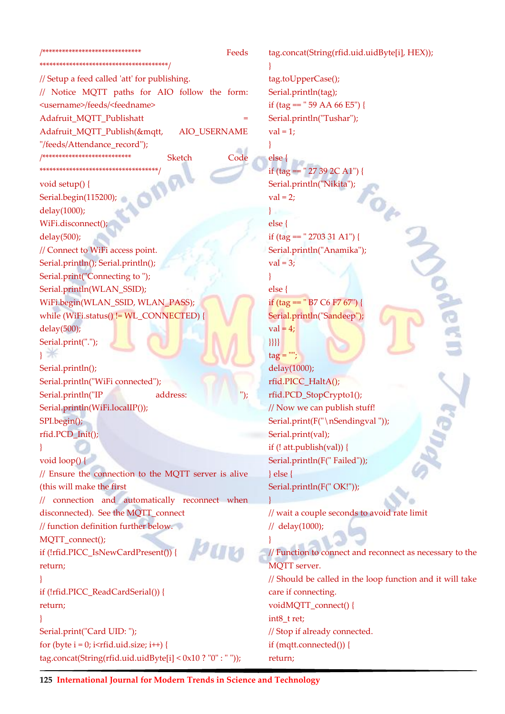#### /\*\*\*\*\*\*\*\*\*\*\*\*\*\*\*\*\*\*\*\*\*\*\*\*\*\*\*\*\*\*\*

Feeds

// Setup a feed called 'att' for publishing. // Notice MQTT paths for AIO follow the form: <username>/feeds/<feedname> Adafruit MOTT Publishatt Adafruit\_MQTT\_Publish(&mqtt, AIO USERNAME "/feeds/Attendance record"); /\*\*\*\*\*\*\*\*\*\*\*\*\*\*\*\*\*\*\*\*\*\*\*\*\*\*\* Sketch Code void setup() { Serial.begin(115200); delay(1000); WiFi.disconnect();  $delay(500);$ 

// Connect to WiFi access point. Serial.println(); Serial.println(); Serial.print("Connecting to"); Serial.println(WLAN\_SSID); WiFi.begin(WLAN SSID, WLAN PASS); while (WiFi.status() != WL CONNECTED) {  $delay(500);$ Serial.print(".");  $\mathbf{1}$ 

Serial.println(); Serial.println("WiFi connected"); Serial.println("IP address: Serial.println(WiFi.localIP());  $SPI.begin$ ;  $rfid.PCD_Init();$ 

```
\mathcal{F}void loop()
```
// Ensure the connection to the MQTT server is alive (this will make the first // connection and automatically reconnect when disconnected). See the MQTT connect // function definition further below. MQTT\_connect(); **рин** if (!rfid.PICC\_IsNewCardPresent()) { return:  $\mathcal{F}$ if (!rfid.PICC\_ReadCardSerial()) { refurn: Serial.print("Card UID: "); for (byte  $i = 0$ ; i i fid.uid.size;  $i++)$  {  $tag. concat(String(rfid.uid.uidByte[i] < 0x10 ? "0" : ""));$ 

tag.concat(String(rfid.uid.uidByte[i], HEX)); tag.toUpperCase(); Serial.println(tag); if (tag ==  $"$  59 AA 66 E5") { Serial.println("Tushar");  $val = 1$ :  $\mathcal{E}$ else { if (tag ==  $" 27 39 2C A1"$ ) { Serial.println("Nikita");  $val = 2$ ;  $\mathcal{O}_{\hat{C}}$  $\}$ else { if (tag ==  $" 2703 31 A1"$ ) { Serial.println("Anamika");  $val = 3;$ <sup>1</sup>  $else$ if (tag ==  $" B7 C6 F7 67"$ ) { Serial.println("Sandeep");  $val = 4;$  $\{\}$  $tag = "$ delay(1000); rfid.PICC\_HaltA(); rfid.PCD StopCrypto1(); // Now we can publish stuff! Serial.print(F("\nSendingval")); Serial.print(val); if  $(!$  att.publish $(val))$  { Serial.println(F("Failed"));  $\}$  else { Serial.println(F("OK!")); // wait a couple seconds to avoid rate limit // delay(1000); // Function to connect and reconnect as necessary to the **MOTT** server. // Should be called in the loop function and it will take care if connecting.

voidMQTT\_connect() {

int8 t ret;

// Stop if already connected.

if  $(mqtt.comnected))$  {

return;